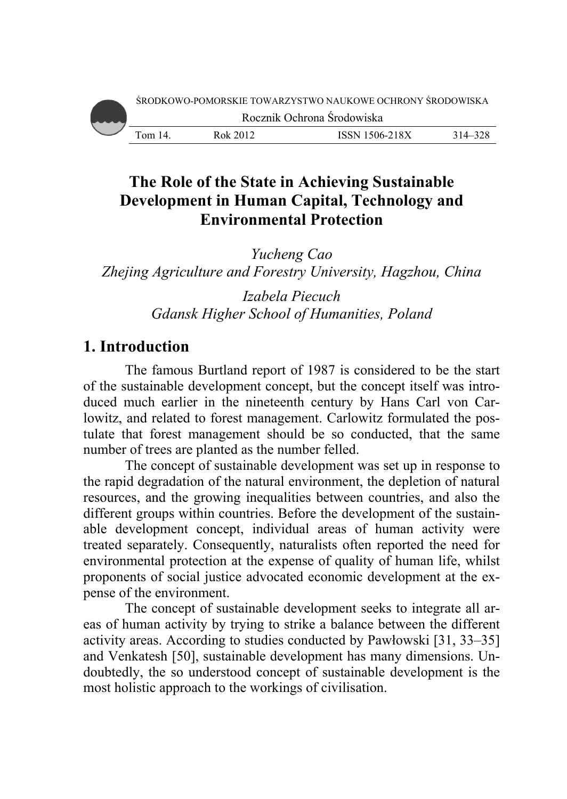# **The Role of the State in Achieving Sustainable Development in Human Capital, Technology and Environmental Protection**

*Zhejing Agriculture and Forestry University, Hagzhou, China Yucheng C Cao* 

> Gdansk Higher School of Humanities, Poland *Izabela Piecuch*

# 1. Introduction

The famous Burtland report of 1987 is considered to be the start of the sustainable development concept, but the concept itself was introduced much earlier in the nineteenth century by Hans Carl von Carlowitz, and related to forest management. Carlowitz formulated the postulate that forest management should be so conducted, that the same number of trees are planted as the number felled.

The concept of sustainable development was set up in response to the rapid degradation of the natural environment, the depletion of natural resources, and the growing inequalities between countries, and also the different groups within countries. Before the development of the sustainable development concept, individual areas of human activity were treated separately. Consequently, naturalists often reported the need for environmental protection at the expense of quality of human life, whilst proponents of social justice advocated economic development at the expense of the e environment.

The concept of sustainable development seeks to integrate all areas of human activity by trying to strike a balance between the different activity areas. According to studies conducted by Pawłowski [31, 33–35] and Venkatesh [50], sustainable development has many dimensions. Undoubtedly, the so understood concept of sustainable development is the most holistic approach to th he workings o f civilisation.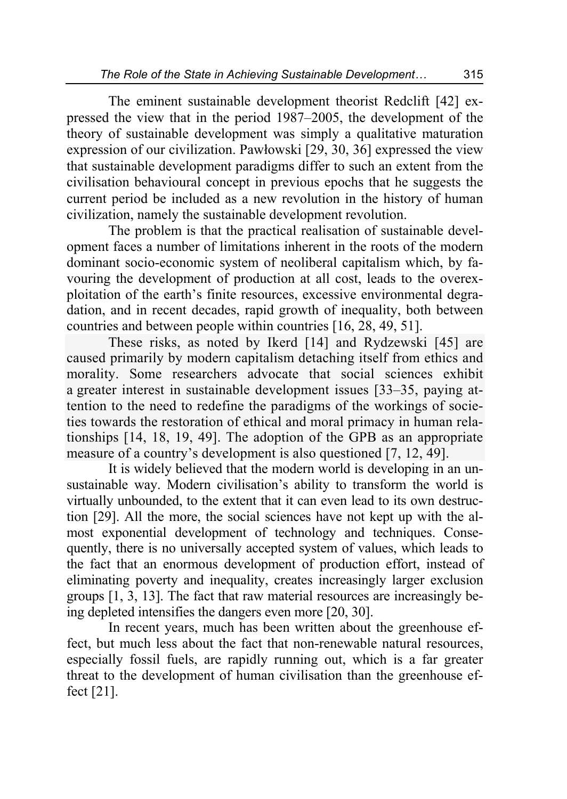The eminent sustainable development theorist Redclift [42] expressed the view that in the period 1987–2005, the development of the theory of sustainable development was simply a qualitative maturation expression of our civilization. Pawłowski [29, 30, 36] expressed the view that sustainable development paradigms differ to such an extent from the civilisation behavioural concept in previous epochs that he suggests the current period be included as a new revolution in the history of human civilization, namely the sustainable development revolution.

The problem is that the practical realisation of sustainable development faces a number of limitations inherent in the roots of the modern dominant socio-economic system of neoliberal capitalism which, by favouring the development of production at all cost, leads to the overexploitation of the earth's finite resources, excessive environmental degradation, and in recent decades, rapid growth of inequality, both between countries and between people within countries [16, 28, 49, 51].

These risks, as noted by Ikerd [14] and Rydzewski [45] are caused primarily by modern capitalism detaching itself from ethics and morality. Some researchers advocate that social sciences exhibit a greater interest in sustainable development issues [33–35, paying attention to the need to redefine the paradigms of the workings of societies towards the restoration of ethical and moral primacy in human relationships [14, 18, 19, 49]. The adoption of the GPB as an appropriate measure of a country's development is also questioned [7, 12, 49].

It is widely believed that the modern world is developing in an unsustainable way. Modern civilisation's ability to transform the world is virtually unbounded, to the extent that it can even lead to its own destruction [29]. All the more, the social sciences have not kept up with the almost exponential development of technology and techniques. Consequently, there is no universally accepted system of values, which leads to the fact that an enormous development of production effort, instead of eliminating poverty and inequality, creates increasingly larger exclusion groups [1, 3, 13]. The fact that raw material resources are increasingly being depleted intensifies the dangers even more [20, 30].

In recent years, much has been written about the greenhouse effect, but much less about the fact that non-renewable natural resources, especially fossil fuels, are rapidly running out, which is a far greater threat to the development of human civilisation than the greenhouse effect [21].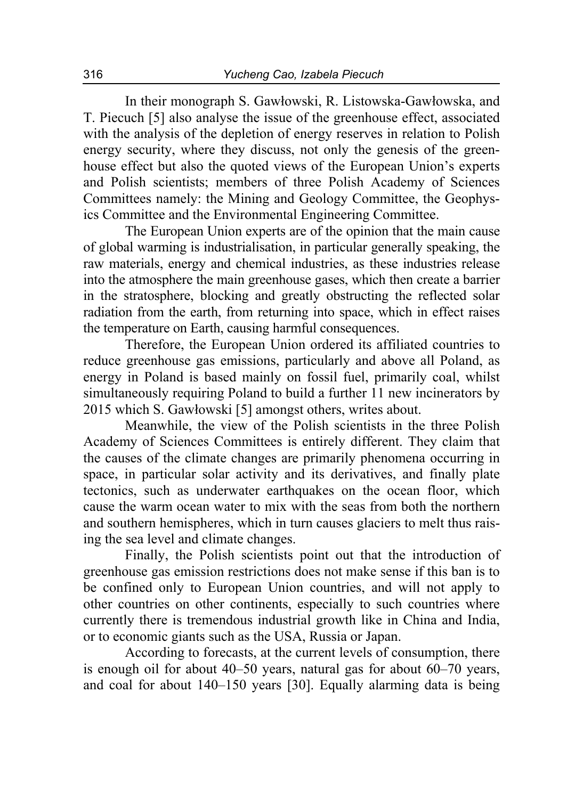In their monograph S. Gawłowski, R. Listowska-Gawłowska, and T. Piecuch [5] also analyse the issue of the greenhouse effect, associated with the analysis of the depletion of energy reserves in relation to Polish energy security, where they discuss, not only the genesis of the greenhouse effect but also the quoted views of the European Union's experts and Polish scientists; members of three Polish Academy of Sciences Committees namely: the Mining and Geology Committee, the Geophysics Committee and the Environmental Engineering Committee.

The European Union experts are of the opinion that the main cause of global warming is industrialisation, in particular generally speaking, the raw materials, energy and chemical industries, as these industries release into the atmosphere the main greenhouse gases, which then create a barrier in the stratosphere, blocking and greatly obstructing the reflected solar radiation from the earth, from returning into space, which in effect raises the temperature on Earth, causing harmful consequences.

Therefore, the European Union ordered its affiliated countries to reduce greenhouse gas emissions, particularly and above all Poland, as energy in Poland is based mainly on fossil fuel, primarily coal, whilst simultaneously requiring Poland to build a further 11 new incinerators by 2015 which S. Gawłowski [5] amongst others, writes about.

Meanwhile, the view of the Polish scientists in the three Polish Academy of Sciences Committees is entirely different. They claim that the causes of the climate changes are primarily phenomena occurring in space, in particular solar activity and its derivatives, and finally plate tectonics, such as underwater earthquakes on the ocean floor, which cause the warm ocean water to mix with the seas from both the northern and southern hemispheres, which in turn causes glaciers to melt thus raising the sea level and climate changes.

Finally, the Polish scientists point out that the introduction of greenhouse gas emission restrictions does not make sense if this ban is to be confined only to European Union countries, and will not apply to other countries on other continents, especially to such countries where currently there is tremendous industrial growth like in China and India, or to economic giants such as the USA, Russia or Japan.

According to forecasts, at the current levels of consumption, there is enough oil for about 40–50 years, natural gas for about 60–70 years, and coal for about 140–150 years [30]. Equally alarming data is being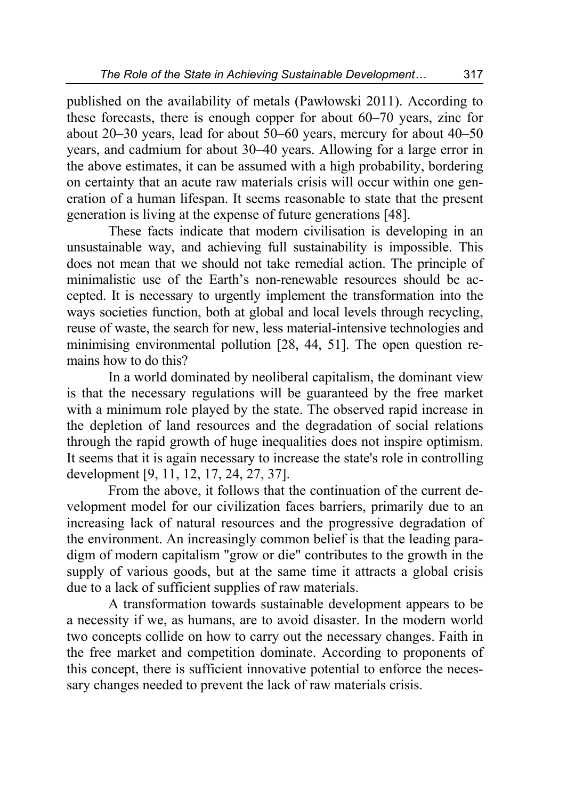published on the availability of metals (Pawłowski 2011). According to these forecasts, there is enough copper for about 60–70 years, zinc for about 20–30 years, lead for about 50–60 years, mercury for about 40–50 years, and cadmium for about 30–40 years. Allowing for a large error in the above estimates, it can be assumed with a high probability, bordering on certainty that an acute raw materials crisis will occur within one generation of a human lifespan. It seems reasonable to state that the present generation is living at the expense of future generations [48].

These facts indicate that modern civilisation is developing in an unsustainable way, and achieving full sustainability is impossible. This does not mean that we should not take remedial action. The principle of minimalistic use of the Earth's non-renewable resources should be accepted. It is necessary to urgently implement the transformation into the ways societies function, both at global and local levels through recycling, reuse of waste, the search for new, less material-intensive technologies and minimising environmental pollution [28, 44, 51]. The open question remains how to do this?

In a world dominated by neoliberal capitalism, the dominant view is that the necessary regulations will be guaranteed by the free market with a minimum role played by the state. The observed rapid increase in the depletion of land resources and the degradation of social relations through the rapid growth of huge inequalities does not inspire optimism. It seems that it is again necessary to increase the state's role in controlling development [9, 11, 12, 17, 24, 27, 37].

From the above, it follows that the continuation of the current development model for our civilization faces barriers, primarily due to an increasing lack of natural resources and the progressive degradation of the environment. An increasingly common belief is that the leading paradigm of modern capitalism "grow or die" contributes to the growth in the supply of various goods, but at the same time it attracts a global crisis due to a lack of sufficient supplies of raw materials.

A transformation towards sustainable development appears to be a necessity if we, as humans, are to avoid disaster. In the modern world two concepts collide on how to carry out the necessary changes. Faith in the free market and competition dominate. According to proponents of this concept, there is sufficient innovative potential to enforce the necessary changes needed to prevent the lack of raw materials crisis.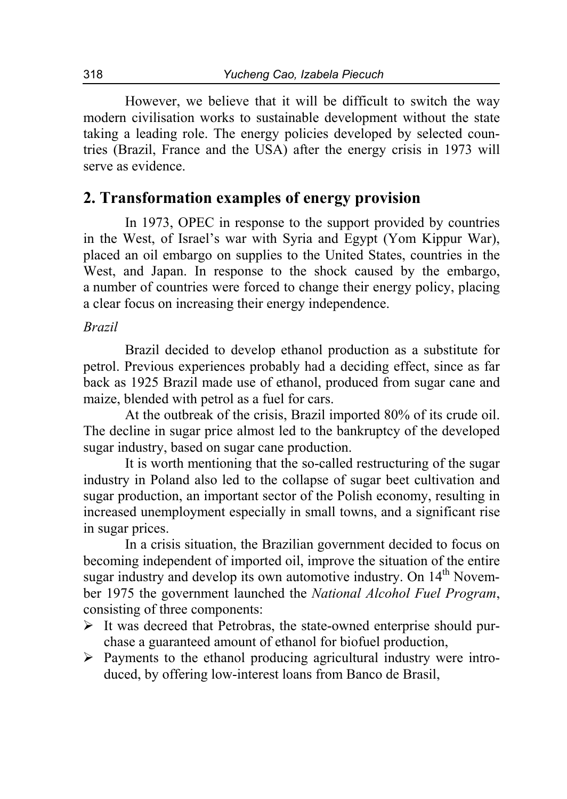However, we believe that it will be difficult to switch the way modern civilisation works to sustainable development without the state taking a leading role. The energy policies developed by selected countries (Brazil, France and the USA) after the energy crisis in 1973 will serve as evidence.

### **2. Transformation examples of energy provision**

In 1973, OPEC in response to the support provided by countries in the West, of Israel's war with Syria and Egypt (Yom Kippur War), placed an oil embargo on supplies to the United States, countries in the West, and Japan. In response to the shock caused by the embargo, a number of countries were forced to change their energy policy, placing a clear focus on increasing their energy independence.

#### *Brazil*

Brazil decided to develop ethanol production as a substitute for petrol. Previous experiences probably had a deciding effect, since as far back as 1925 Brazil made use of ethanol, produced from sugar cane and maize, blended with petrol as a fuel for cars.

At the outbreak of the crisis, Brazil imported 80% of its crude oil. The decline in sugar price almost led to the bankruptcy of the developed sugar industry, based on sugar cane production.

It is worth mentioning that the so-called restructuring of the sugar industry in Poland also led to the collapse of sugar beet cultivation and sugar production, an important sector of the Polish economy, resulting in increased unemployment especially in small towns, and a significant rise in sugar prices.

In a crisis situation, the Brazilian government decided to focus on becoming independent of imported oil, improve the situation of the entire sugar industry and develop its own automotive industry. On 14<sup>th</sup> November 1975 the government launched the *National Alcohol Fuel Program*, consisting of three components:

- $\triangleright$  It was decreed that Petrobras, the state-owned enterprise should purchase a guaranteed amount of ethanol for biofuel production,
- $\triangleright$  Payments to the ethanol producing agricultural industry were introduced, by offering low-interest loans from Banco de Brasil,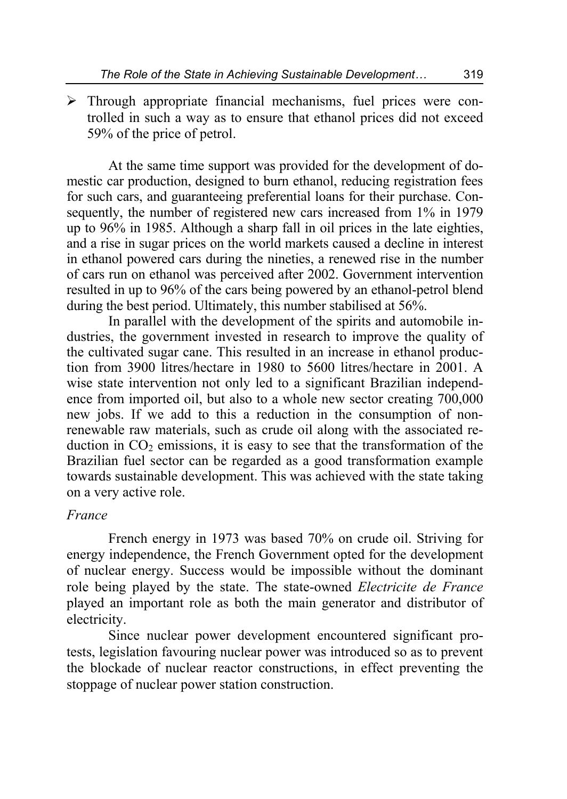$\triangleright$  Through appropriate financial mechanisms, fuel prices were controlled in such a way as to ensure that ethanol prices did not exceed 59% of the price of petrol.

At the same time support was provided for the development of domestic car production, designed to burn ethanol, reducing registration fees for such cars, and guaranteeing preferential loans for their purchase. Consequently, the number of registered new cars increased from 1% in 1979 up to 96% in 1985. Although a sharp fall in oil prices in the late eighties, and a rise in sugar prices on the world markets caused a decline in interest in ethanol powered cars during the nineties, a renewed rise in the number of cars run on ethanol was perceived after 2002. Government intervention resulted in up to 96% of the cars being powered by an ethanol-petrol blend during the best period. Ultimately, this number stabilised at 56%.

In parallel with the development of the spirits and automobile industries, the government invested in research to improve the quality of the cultivated sugar cane. This resulted in an increase in ethanol production from 3900 litres/hectare in 1980 to 5600 litres/hectare in 2001. A wise state intervention not only led to a significant Brazilian independence from imported oil, but also to a whole new sector creating 700,000 new jobs. If we add to this a reduction in the consumption of nonrenewable raw materials, such as crude oil along with the associated reduction in  $CO<sub>2</sub>$  emissions, it is easy to see that the transformation of the Brazilian fuel sector can be regarded as a good transformation example towards sustainable development. This was achieved with the state taking on a very active role.

#### *France*

French energy in 1973 was based 70% on crude oil. Striving for energy independence, the French Government opted for the development of nuclear energy. Success would be impossible without the dominant role being played by the state. The state-owned *Electricite de France* played an important role as both the main generator and distributor of electricity.

Since nuclear power development encountered significant protests, legislation favouring nuclear power was introduced so as to prevent the blockade of nuclear reactor constructions, in effect preventing the stoppage of nuclear power station construction.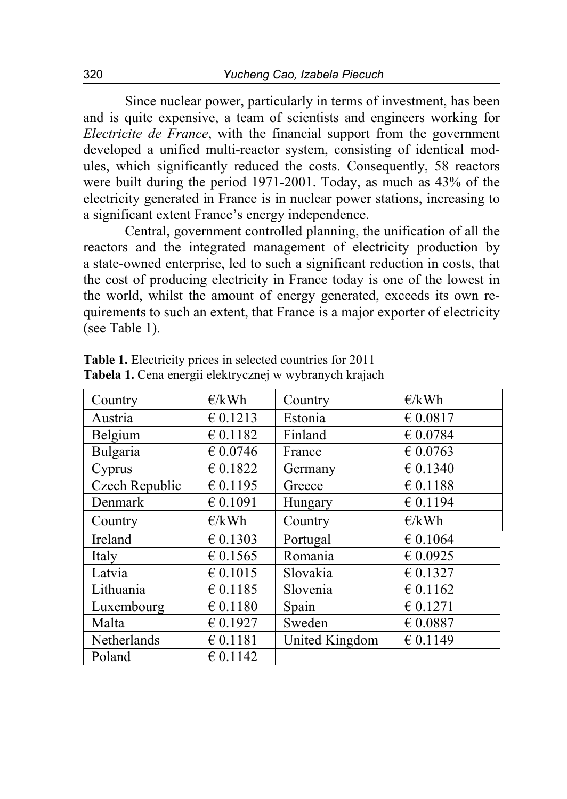Since nuclear power, particularly in terms of investment, has been and is quite expensive, a team of scientists and engineers working for *Electricite de France*, with the financial support from the government developed a unified multi-reactor system, consisting of identical modules, which significantly reduced the costs. Consequently, 58 reactors were built during the period 1971-2001. Today, as much as 43% of the electricity generated in France is in nuclear power stations, increasing to a significant extent France's energy independence.

Central, government controlled planning, the unification of all the reactors and the integrated management of electricity production by a state-owned enterprise, led to such a significant reduction in costs, that the cost of producing electricity in France today is one of the lowest in the world, whilst the amount of energy generated, exceeds its own requirements to such an extent, that France is a major exporter of electricity (see Table 1).

| Country        | E/kWh    | Country        | E/kWh                                   |
|----------------|----------|----------------|-----------------------------------------|
| Austria        | € 0.1213 | Estonia        | € 0.0817                                |
| Belgium        | € 0.1182 | Finland        | € 0.0784                                |
| Bulgaria       | € 0.0746 | France         | € 0.0763                                |
| Cyprus         | € 0.1822 | Germany        | € 0.1340                                |
| Czech Republic | € 0.1195 | Greece         | $\text{\large\ensuremath{\in}}\ 0.1188$ |
| Denmark        | € 0.1091 | Hungary        | € 0.1194                                |
| Country        | E/kWh    | Country        | E/kWh                                   |
| Ireland        | € 0.1303 | Portugal       | € 0.1064                                |
| Italy          | € 0.1565 | Romania        | € 0.0925                                |
| Latvia         | € 0.1015 | Slovakia       | € 0.1327                                |
| Lithuania      | € 0.1185 | Slovenia       | € 0.1162                                |
| Luxembourg     | € 0.1180 | Spain          | € 0.1271                                |
| Malta          | € 0.1927 | Sweden         | $\epsilon$ 0.0887                       |
| Netherlands    | € 0.1181 | United Kingdom | € 0.1149                                |
| Poland         | € 0.1142 |                |                                         |

**Table 1.** Electricity prices in selected countries for 2011 **Tabela 1.** Cena energii elektrycznej w wybranych krajach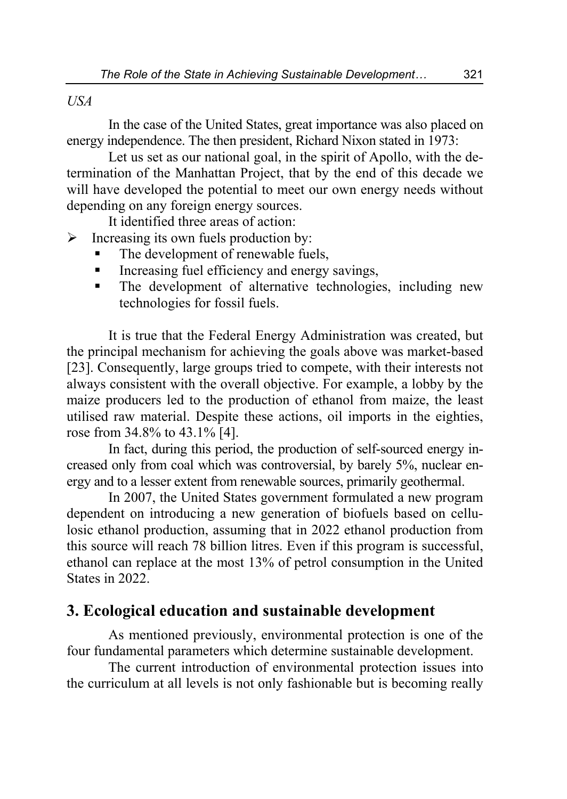### *USA*

In the case of the United States, great importance was also placed on energy independence. The then president, Richard Nixon stated in 1973:

Let us set as our national goal, in the spirit of Apollo, with the determination of the Manhattan Project, that by the end of this decade we will have developed the potential to meet our own energy needs without depending on any foreign energy sources.

It identified three areas of action:

 $\triangleright$  Increasing its own fuels production by:

- The development of renewable fuels,
- Increasing fuel efficiency and energy savings,
- The development of alternative technologies, including new technologies for fossil fuels.

It is true that the Federal Energy Administration was created, but the principal mechanism for achieving the goals above was market-based [23]. Consequently, large groups tried to compete, with their interests not always consistent with the overall objective. For example, a lobby by the maize producers led to the production of ethanol from maize, the least utilised raw material. Despite these actions, oil imports in the eighties, rose from 34.8% to 43.1% [4].

In fact, during this period, the production of self-sourced energy increased only from coal which was controversial, by barely 5%, nuclear energy and to a lesser extent from renewable sources, primarily geothermal.

In 2007, the United States government formulated a new program dependent on introducing a new generation of biofuels based on cellulosic ethanol production, assuming that in 2022 ethanol production from this source will reach 78 billion litres. Even if this program is successful, ethanol can replace at the most 13% of petrol consumption in the United States in 2022.

### **3. Ecological education and sustainable development**

As mentioned previously, environmental protection is one of the four fundamental parameters which determine sustainable development.

The current introduction of environmental protection issues into the curriculum at all levels is not only fashionable but is becoming really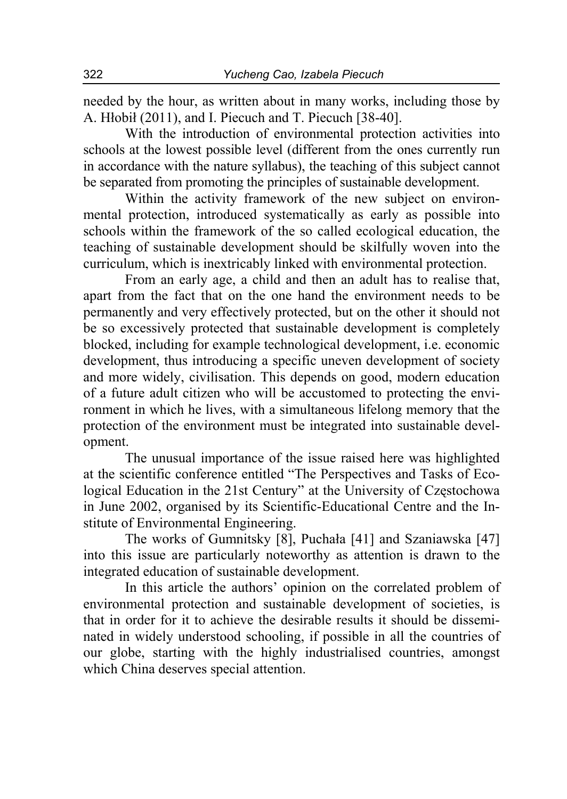needed by the hour, as written about in many works, including those by A. Hłobił (2011), and I. Piecuch and T. Piecuch [38-40].

With the introduction of environmental protection activities into schools at the lowest possible level (different from the ones currently run in accordance with the nature syllabus), the teaching of this subject cannot be separated from promoting the principles of sustainable development.

Within the activity framework of the new subject on environmental protection, introduced systematically as early as possible into schools within the framework of the so called ecological education, the teaching of sustainable development should be skilfully woven into the curriculum, which is inextricably linked with environmental protection.

From an early age, a child and then an adult has to realise that, apart from the fact that on the one hand the environment needs to be permanently and very effectively protected, but on the other it should not be so excessively protected that sustainable development is completely blocked, including for example technological development, i.e. economic development, thus introducing a specific uneven development of society and more widely, civilisation. This depends on good, modern education of a future adult citizen who will be accustomed to protecting the environment in which he lives, with a simultaneous lifelong memory that the protection of the environment must be integrated into sustainable development.

The unusual importance of the issue raised here was highlighted at the scientific conference entitled "The Perspectives and Tasks of Ecological Education in the 21st Century" at the University of Częstochowa in June 2002, organised by its Scientific-Educational Centre and the Institute of Environmental Engineering.

The works of Gumnitsky [8], Puchała [41] and Szaniawska [47] into this issue are particularly noteworthy as attention is drawn to the integrated education of sustainable development.

In this article the authors' opinion on the correlated problem of environmental protection and sustainable development of societies, is that in order for it to achieve the desirable results it should be disseminated in widely understood schooling, if possible in all the countries of our globe, starting with the highly industrialised countries, amongst which China deserves special attention.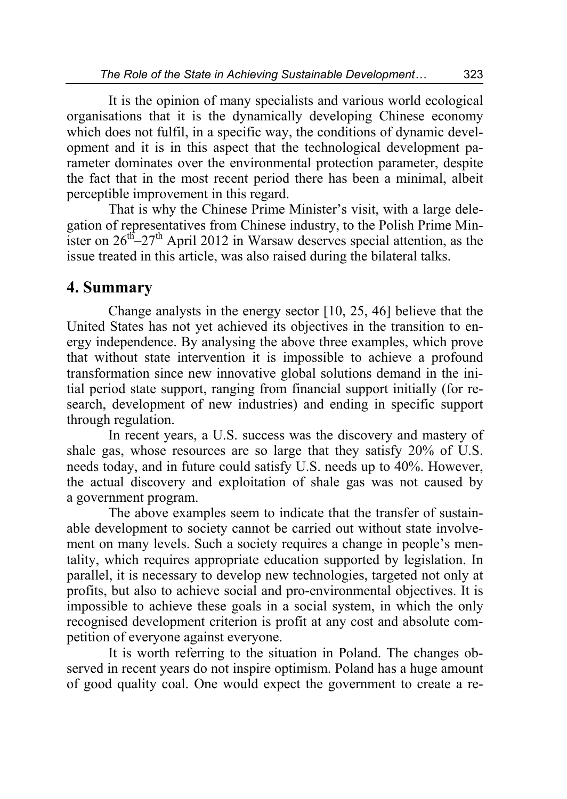It is the opinion of many specialists and various world ecological organisations that it is the dynamically developing Chinese economy which does not fulfil, in a specific way, the conditions of dynamic development and it is in this aspect that the technological development parameter dominates over the environmental protection parameter, despite the fact that in the most recent period there has been a minimal, albeit perceptible improvement in this regard.

That is why the Chinese Prime Minister's visit, with a large delegation of representatives from Chinese industry, to the Polish Prime Minister on  $26<sup>th</sup>-27<sup>th</sup>$  April 2012 in Warsaw deserves special attention, as the issue treated in this article, was also raised during the bilateral talks.

### **4. Summary**

Change analysts in the energy sector [10, 25, 46] believe that the United States has not yet achieved its objectives in the transition to energy independence. By analysing the above three examples, which prove that without state intervention it is impossible to achieve a profound transformation since new innovative global solutions demand in the initial period state support, ranging from financial support initially (for research, development of new industries) and ending in specific support through regulation.

In recent years, a U.S. success was the discovery and mastery of shale gas, whose resources are so large that they satisfy 20% of U.S. needs today, and in future could satisfy U.S. needs up to 40%. However, the actual discovery and exploitation of shale gas was not caused by a government program.

The above examples seem to indicate that the transfer of sustainable development to society cannot be carried out without state involvement on many levels. Such a society requires a change in people's mentality, which requires appropriate education supported by legislation. In parallel, it is necessary to develop new technologies, targeted not only at profits, but also to achieve social and pro-environmental objectives. It is impossible to achieve these goals in a social system, in which the only recognised development criterion is profit at any cost and absolute competition of everyone against everyone.

It is worth referring to the situation in Poland. The changes observed in recent years do not inspire optimism. Poland has a huge amount of good quality coal. One would expect the government to create a re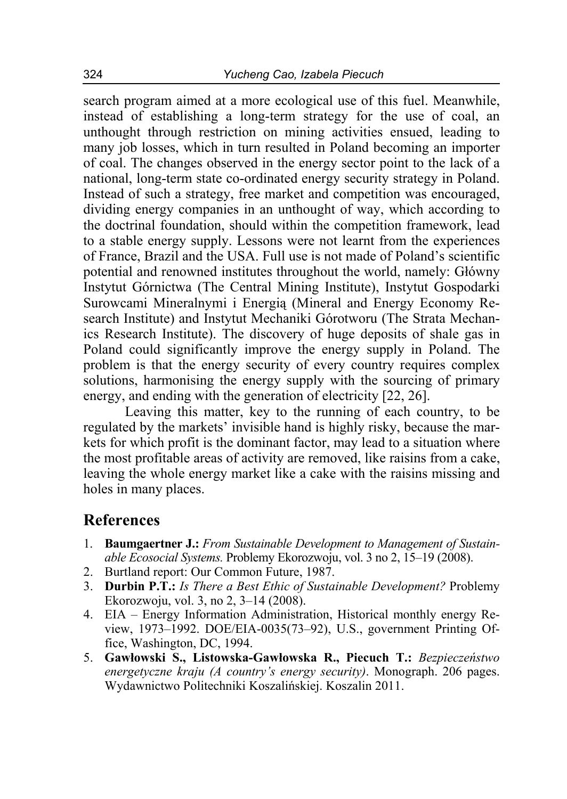search program aimed at a more ecological use of this fuel. Meanwhile, instead of establishing a long-term strategy for the use of coal, an unthought through restriction on mining activities ensued, leading to many job losses, which in turn resulted in Poland becoming an importer of coal. The changes observed in the energy sector point to the lack of a national, long-term state co-ordinated energy security strategy in Poland. Instead of such a strategy, free market and competition was encouraged, dividing energy companies in an unthought of way, which according to the doctrinal foundation, should within the competition framework, lead to a stable energy supply. Lessons were not learnt from the experiences of France, Brazil and the USA. Full use is not made of Poland's scientific potential and renowned institutes throughout the world, namely: Główny Instytut Górnictwa (The Central Mining Institute), Instytut Gospodarki Surowcami Mineralnymi i Energią (Mineral and Energy Economy Research Institute) and Instytut Mechaniki Górotworu (The Strata Mechanics Research Institute). The discovery of huge deposits of shale gas in Poland could significantly improve the energy supply in Poland. The problem is that the energy security of every country requires complex solutions, harmonising the energy supply with the sourcing of primary energy, and ending with the generation of electricity [22, 26].

Leaving this matter, key to the running of each country, to be regulated by the markets' invisible hand is highly risky, because the markets for which profit is the dominant factor, may lead to a situation where the most profitable areas of activity are removed, like raisins from a cake, leaving the whole energy market like a cake with the raisins missing and holes in many places.

## **References**

- 1. **Baumgaertner J.:** *From Sustainable Development to Management of Sustainable Ecosocial Systems.* Problemy Ekorozwoju, vol. 3 no 2, 15–19 (2008).
- 2. Burtland report: Our Common Future, 1987.
- 3. **Durbin P.T.:** *Is There a Best Ethic of Sustainable Development?* Problemy Ekorozwoju, vol. 3, no 2, 3–14 (2008).
- 4. EIA Energy Information Administration, Historical monthly energy Review, 1973–1992. DOE/EIA-0035(73–92), U.S., government Printing Office, Washington, DC, 1994.
- 5. **Gawłowski S., Listowska-Gawłowska R., Piecuch T.:** *Bezpieczeństwo energetyczne kraju (A country's energy security)*. Monograph. 206 pages. Wydawnictwo Politechniki Koszalińskiej. Koszalin 2011.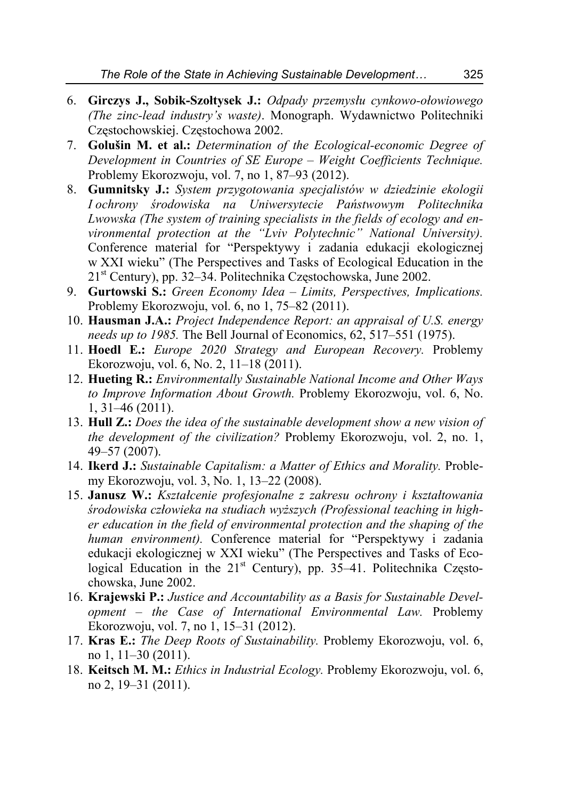- 6. **Girczys J., Sobik-Szołtysek J.:** *Odpady przemysłu cynkowo-ołowiowego (The zinc-lead industry's waste)*. Monograph. Wydawnictwo Politechniki Częstochowskiej. Częstochowa 2002.
- 7. **Golušin M. et al.:** *Determination of the Ecological-economic Degree of Development in Countries of SE Europe – Weight Coefficients Technique.* Problemy Ekorozwoju, vol. 7, no 1, 87–93 (2012).
- 8. **Gumnitsky J.:** *System przygotowania specjalistów w dziedzinie ekologii I ochrony środowiska na Uniwersytecie Państwowym Politechnika Lwowska (The system of training specialists in the fields of ecology and environmental protection at the "Lviv Polytechnic" National University).* Conference material for "Perspektywy i zadania edukacji ekologicznej w XXI wieku" (The Perspectives and Tasks of Ecological Education in the 21st Century), pp. 32–34. Politechnika Częstochowska, June 2002.
- 9. **Gurtowski S.:** *Green Economy Idea Limits, Perspectives, Implications.* Problemy Ekorozwoju, vol. 6, no 1, 75–82 (2011).
- 10. **Hausman J.A.:** *Project Independence Report: an appraisal of U.S. energy needs up to 1985.* The Bell Journal of Economics, 62, 517–551 (1975).
- 11. **Hoedl E.:** *Europe 2020 Strategy and European Recovery.* Problemy Ekorozwoju, vol. 6, No. 2, 11–18 (2011).
- 12. **Hueting R.:** *Environmentally Sustainable National Income and Other Ways to Improve Information About Growth.* Problemy Ekorozwoju, vol. 6, No. 1, 31–46 (2011).
- 13. **Hull Z.:** *Does the idea of the sustainable development show a new vision of the development of the civilization?* Problemy Ekorozwoju, vol. 2, no. 1, 49–57 (2007).
- 14. **Ikerd J.:** *Sustainable Capitalism: a Matter of Ethics and Morality.* Problemy Ekorozwoju, vol. 3, No. 1, 13–22 (2008).
- 15. **Janusz W.:** *Kształcenie profesjonalne z zakresu ochrony i kształtowania środowiska człowieka na studiach wyższych (Professional teaching in higher education in the field of environmental protection and the shaping of the human environment).* Conference material for "Perspektywy i zadania edukacji ekologicznej w XXI wieku" (The Perspectives and Tasks of Ecological Education in the  $21<sup>st</sup>$  Century), pp. 35–41. Politechnika Częstochowska, June 2002.
- 16. **Krajewski P.:** *Justice and Accountability as a Basis for Sustainable Development – the Case of International Environmental Law.* Problemy Ekorozwoju, vol. 7, no 1, 15–31 (2012).
- 17. **Kras E.:** *The Deep Roots of Sustainability.* Problemy Ekorozwoju, vol. 6, no 1, 11–30 (2011).
- 18. **Keitsch M. M.:** *Ethics in Industrial Ecology.* Problemy Ekorozwoju, vol. 6, no 2, 19–31 (2011).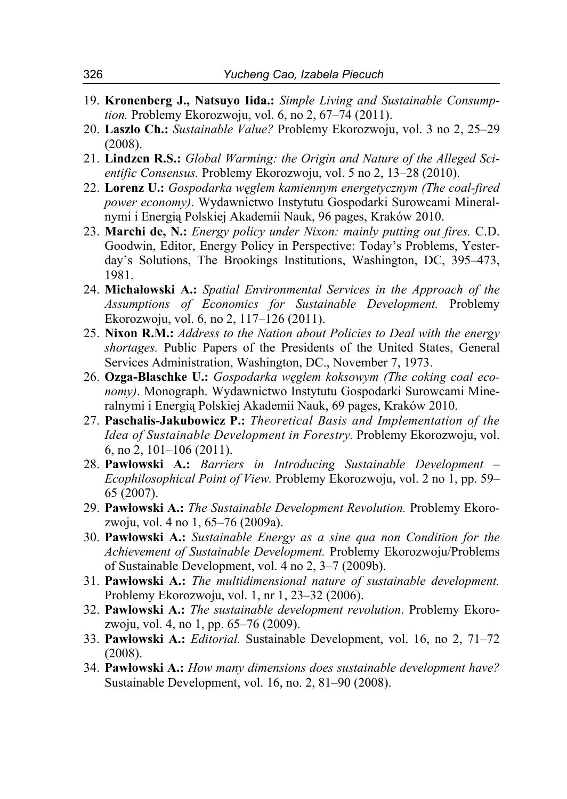- 19. **Kronenberg J., Natsuyo Iida.:** *Simple Living and Sustainable Consumption.* Problemy Ekorozwoju, vol. 6, no 2, 67–74 (2011).
- 20. **Laszlo Ch.:** *Sustainable Value?* Problemy Ekorozwoju, vol. 3 no 2, 25–29 (2008).
- 21. **Lindzen R.S.:** *Global Warming: the Origin and Nature of the Alleged Scientific Consensus.* Problemy Ekorozwoju, vol. 5 no 2, 13–28 (2010).
- 22. **Lorenz U.:** *Gospodarka węglem kamiennym energetycznym (The coal-fired power economy)*. Wydawnictwo Instytutu Gospodarki Surowcami Mineralnymi i Energią Polskiej Akademii Nauk, 96 pages, Kraków 2010.
- 23. **Marchi de, N.:** *Energy policy under Nixon: mainly putting out fires.* C.D. Goodwin, Editor, Energy Policy in Perspective: Today's Problems, Yesterday's Solutions, The Brookings Institutions, Washington, DC, 395–473, 1981.
- 24. **Michałowski A.:** *Spatial Environmental Services in the Approach of the Assumptions of Economics for Sustainable Development.* Problemy Ekorozwoju, vol. 6, no 2, 117–126 (2011).
- 25. **Nixon R.M.:** *Address to the Nation about Policies to Deal with the energy shortages.* Public Papers of the Presidents of the United States, General Services Administration, Washington, DC., November 7, 1973.
- 26. **Ozga-Blaschke U.:** *Gospodarka węglem koksowym (The coking coal economy)*. Monograph. Wydawnictwo Instytutu Gospodarki Surowcami Mineralnymi i Energią Polskiej Akademii Nauk, 69 pages, Kraków 2010.
- 27. **Paschalis-Jakubowicz P.:** *Theoretical Basis and Implementation of the Idea of Sustainable Development in Forestry.* Problemy Ekorozwoju, vol. 6, no 2, 101–106 (2011).
- 28. **Pawłowski A.:** *Barriers in Introducing Sustainable Development Ecophilosophical Point of View.* Problemy Ekorozwoju, vol. 2 no 1, pp. 59– 65 (2007).
- 29. **Pawłowski A.:** *The Sustainable Development Revolution.* Problemy Ekorozwoju, vol. 4 no 1, 65–76 (2009a).
- 30. **Pawłowski A.:** *Sustainable Energy as a sine qua non Condition for the Achievement of Sustainable Development.* Problemy Ekorozwoju/Problems of Sustainable Development, vol. 4 no 2, 3–7 (2009b).
- 31. **Pawłowski A.:** *The multidimensional nature of sustainable development.* Problemy Ekorozwoju, vol. 1, nr 1, 23–32 (2006).
- 32. **Pawlowski A.:** *The sustainable development revolution*. Problemy Ekorozwoju, vol. 4, no 1, pp. 65–76 (2009).
- 33. **Pawłowski A.:** *Editorial.* Sustainable Development, vol. 16, no 2, 71–72 (2008).
- 34. **Pawłowski A.:** *How many dimensions does sustainable development have?* Sustainable Development, vol. 16, no. 2, 81–90 (2008).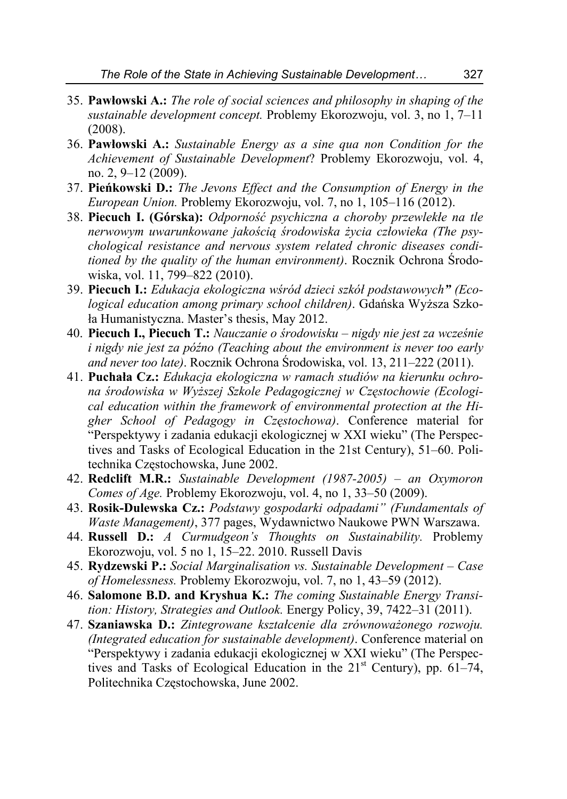- 35. **Pawłowski A.:** *The role of social sciences and philosophy in shaping of the sustainable development concept.* Problemy Ekorozwoju, vol. 3, no 1, 7–11 (2008).
- 36. **Pawłowski A.:** *Sustainable Energy as a sine qua non Condition for the Achievement of Sustainable Development*? Problemy Ekorozwoju, vol. 4, no. 2, 9–12 (2009).
- 37. **Pieńkowski D.:** *The Jevons Effect and the Consumption of Energy in the European Union.* Problemy Ekorozwoju, vol. 7, no 1, 105–116 (2012).
- 38. **Piecuch I. (Górska):** *Odporność psychiczna a choroby przewlekłe na tle nerwowym uwarunkowane jakością środowiska życia człowieka (The psychological resistance and nervous system related chronic diseases conditioned by the quality of the human environment)*. Rocznik Ochrona Środowiska, vol. 11, 799–822 (2010).
- 39. **Piecuch I.:** *Edukacja ekologiczna wśród dzieci szkół podstawowych" (Ecological education among primary school children)*. Gdańska Wyższa Szkoła Humanistyczna. Master's thesis, May 2012.
- 40. **Piecuch I., Piecuch T.:** *Nauczanie o środowisku nigdy nie jest za wcześnie i nigdy nie jest za późno (Teaching about the environment is never too early and never too late)*. Rocznik Ochrona Środowiska, vol. 13, 211–222 (2011).
- 41. **Puchała Cz.:** *Edukacja ekologiczna w ramach studiów na kierunku ochrona środowiska w Wyższej Szkole Pedagogicznej w Częstochowie (Ecological education within the framework of environmental protection at the Higher School of Pedagogy in Częstochowa)*. Conference material for "Perspektywy i zadania edukacji ekologicznej w XXI wieku" (The Perspectives and Tasks of Ecological Education in the 21st Century), 51–60. Politechnika Częstochowska, June 2002.
- 42. **Redclift M.R.:** *Sustainable Development (1987-2005) an Oxymoron Comes of Age.* Problemy Ekorozwoju, vol. 4, no 1, 33–50 (2009).
- 43. **Rosik-Dulewska Cz.:** *Podstawy gospodarki odpadami" (Fundamentals of Waste Management)*, 377 pages, Wydawnictwo Naukowe PWN Warszawa.
- 44. **Russell D.:** *A Curmudgeon's Thoughts on Sustainability.* Problemy Ekorozwoju, vol. 5 no 1, 15–22. 2010. Russell Davis
- 45. **Rydzewski P.:** *Social Marginalisation vs. Sustainable Development Case of Homelessness.* Problemy Ekorozwoju, vol. 7, no 1, 43–59 (2012).
- 46. **Salomone B.D. and Kryshua K.:** *The coming Sustainable Energy Transition: History, Strategies and Outlook.* Energy Policy, 39, 7422–31 (2011).
- 47. **Szaniawska D.:** *Zintegrowane kształcenie dla zrównoważonego rozwoju. (Integrated education for sustainable development)*. Conference material on "Perspektywy i zadania edukacji ekologicznej w XXI wieku" (The Perspectives and Tasks of Ecological Education in the  $21<sup>st</sup>$  Century), pp. 61–74, Politechnika Częstochowska, June 2002.